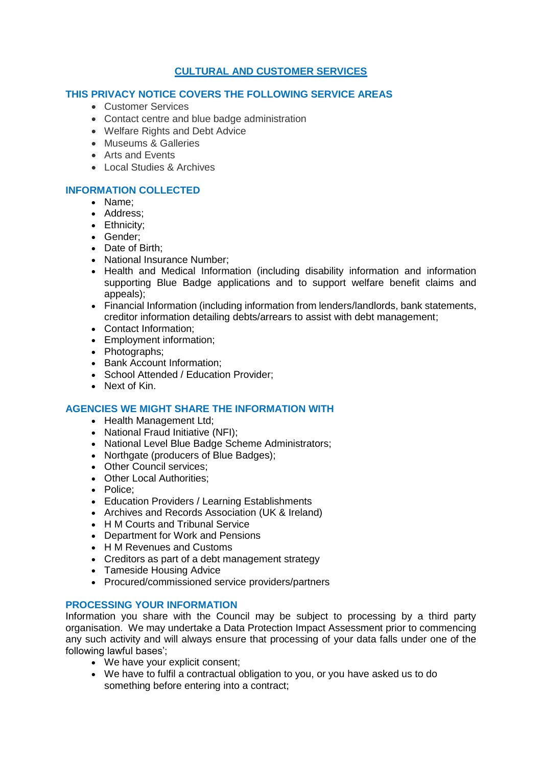# **CULTURAL AND CUSTOMER SERVICES**

### **THIS PRIVACY NOTICE COVERS THE FOLLOWING SERVICE AREAS**

- **Customer Services**
- Contact centre and blue badge administration
- Welfare Rights and Debt Advice
- Museums & Galleries
- Arts and Events
- Local Studies & Archives

## **INFORMATION COLLECTED**

- Name;
- Address:
- Ethnicity:
- Gender;
- Date of Birth:
- National Insurance Number;
- Health and Medical Information (including disability information and information supporting Blue Badge applications and to support welfare benefit claims and appeals);
- Financial Information (including information from lenders/landlords, bank statements, creditor information detailing debts/arrears to assist with debt management;
- Contact Information;
- Employment information;
- Photographs;
- Bank Account Information:
- School Attended / Education Provider:
- Next of Kin.

### **AGENCIES WE MIGHT SHARE THE INFORMATION WITH**

- Health Management Ltd;
- National Fraud Initiative (NFI);
- National Level Blue Badge Scheme Administrators:
- Northgate (producers of Blue Badges);
- Other Council services:
- Other Local Authorities:
- Police;
- Education Providers / Learning Establishments
- Archives and Records Association (UK & Ireland)
- H M Courts and Tribunal Service
- Department for Work and Pensions
- H M Revenues and Customs
- Creditors as part of a debt management strategy
- Tameside Housing Advice
- Procured/commissioned service providers/partners

### **PROCESSING YOUR INFORMATION**

Information you share with the Council may be subject to processing by a third party organisation. We may undertake a Data Protection Impact Assessment prior to commencing any such activity and will always ensure that processing of your data falls under one of the following lawful bases';

- We have your explicit consent;
- We have to fulfil a contractual obligation to you, or you have asked us to do something before entering into a contract;